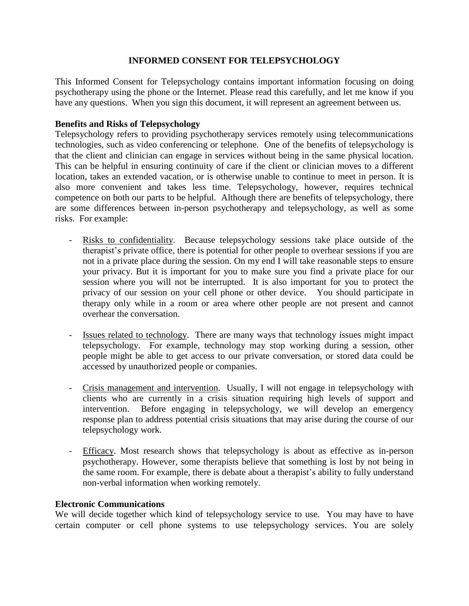# **INFORMED CONSENT FOR TELEPSYCHOLOGY**

This Informed Consent for Telepsychology contains important information focusing on doing psychotherapy using the phone or the Internet. Please read this carefully, and let me know if you have any questions. When you sign this document, it will represent an agreement between us.

## **Benefits and Risks of Telepsychology**

Telepsychology refers to providing psychotherapy services remotely using telecommunications technologies, such as video conferencing or telephone. One of the benefits of telepsychology is that the client and clinician can engage in services without being in the same physical location. This can be helpful in ensuring continuity of care if the client or clinician moves to a different location, takes an extended vacation, or is otherwise unable to continue to meet in person. It is also more convenient and takes less time. Telepsychology, however, requires technical competence on both our parts to be helpful. Although there are benefits of telepsychology, there are some differences between in-person psychotherapy and telepsychology, as well as some risks. For example:

- Risks to confidentiality. Because telepsychology sessions take place outside of the therapist's private office, there is potential for other people to overhear sessions if you are not in a private place during the session. On my end I will take reasonable steps to ensure your privacy. But it is important for you to make sure you find a private place for our session where you will not be interrupted. It is also important for you to protect the privacy of our session on your cell phone or other device. You should participate in therapy only while in a room or area where other people are not present and cannot overhear the conversation.
- Issues related to technology. There are many ways that technology issues might impact telepsychology. For example, technology may stop working during a session, other people might be able to get access to our private conversation, or stored data could be accessed by unauthorized people or companies.
- Crisis management and intervention. Usually, I will not engage in telepsychology with clients who are currently in a crisis situation requiring high levels of support and intervention. Before engaging in telepsychology, we will develop an emergency response plan to address potential crisis situations that may arise during the course of our telepsychology work.
- Efficacy. Most research shows that telepsychology is about as effective as in-person psychotherapy. However, some therapists believe that something is lost by not being in the same room. For example, there is debate about a therapist's ability to fully understand non-verbal information when working remotely.

### **Electronic Communications**

We will decide together which kind of telepsychology service to use. You may have to have certain computer or cell phone systems to use telepsychology services. You are solely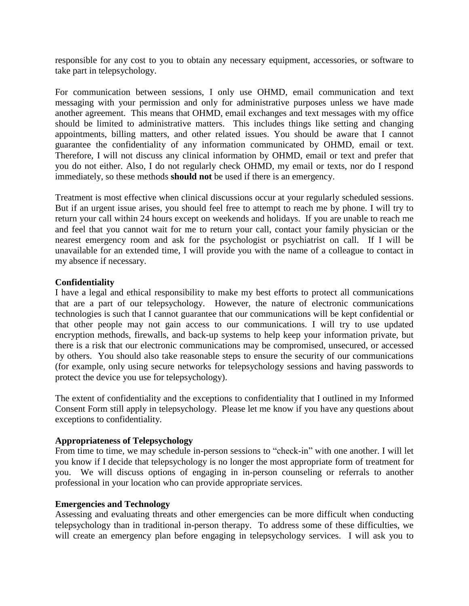responsible for any cost to you to obtain any necessary equipment, accessories, or software to take part in telepsychology.

For communication between sessions, I only use OHMD, email communication and text messaging with your permission and only for administrative purposes unless we have made another agreement. This means that OHMD, email exchanges and text messages with my office should be limited to administrative matters. This includes things like setting and changing appointments, billing matters, and other related issues. You should be aware that I cannot guarantee the confidentiality of any information communicated by OHMD, email or text. Therefore, I will not discuss any clinical information by OHMD, email or text and prefer that you do not either. Also, I do not regularly check OHMD, my email or texts, nor do I respond immediately, so these methods **should not** be used if there is an emergency.

Treatment is most effective when clinical discussions occur at your regularly scheduled sessions. But if an urgent issue arises, you should feel free to attempt to reach me by phone. I will try to return your call within 24 hours except on weekends and holidays. If you are unable to reach me and feel that you cannot wait for me to return your call, contact your family physician or the nearest emergency room and ask for the psychologist or psychiatrist on call. If I will be unavailable for an extended time, I will provide you with the name of a colleague to contact in my absence if necessary.

## **Confidentiality**

I have a legal and ethical responsibility to make my best efforts to protect all communications that are a part of our telepsychology. However, the nature of electronic communications technologies is such that I cannot guarantee that our communications will be kept confidential or that other people may not gain access to our communications. I will try to use updated encryption methods, firewalls, and back-up systems to help keep your information private, but there is a risk that our electronic communications may be compromised, unsecured, or accessed by others. You should also take reasonable steps to ensure the security of our communications (for example, only using secure networks for telepsychology sessions and having passwords to protect the device you use for telepsychology).

The extent of confidentiality and the exceptions to confidentiality that I outlined in my Informed Consent Form still apply in telepsychology. Please let me know if you have any questions about exceptions to confidentiality.

## **Appropriateness of Telepsychology**

From time to time, we may schedule in-person sessions to "check-in" with one another. I will let you know if I decide that telepsychology is no longer the most appropriate form of treatment for you. We will discuss options of engaging in in-person counseling or referrals to another professional in your location who can provide appropriate services.

## **Emergencies and Technology**

Assessing and evaluating threats and other emergencies can be more difficult when conducting telepsychology than in traditional in-person therapy. To address some of these difficulties, we will create an emergency plan before engaging in telepsychology services. I will ask you to